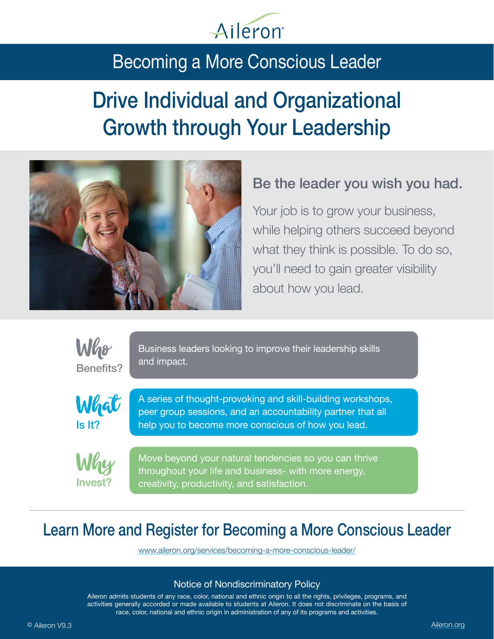

# Becoming a More Conscious Leader

# Drive Individual and Organizational Growth through Your Leadership



### Be the leader you wish you had.

Your job is to grow your business, while helping others succeed beyond what they think is possible. To do so, you'll need to gain greater visibility about how you lead.



Business leaders looking to improve their leadership skills and impact.



A series of thought-provoking and skill-building workshops, peer group sessions, and an accountability partner that all help you to become more conscious of how you lead.



Move beyond your natural tendencies so you can thrive throughout your life and business- with more energy, creativity, productivity, and satisfaction.

## Learn More and Register for Becoming a More Conscious Leader

www.aileron.org/services/becoming-a-more-conscious-leader/

#### Notice of Nondiscriminatory Policy

Aileron admits students of any race, color, national and ethnic origin to all the rights, privileges, programs, and activities generally accorded or made available to students at Aileron. It does not discriminate on the basis of race, color, national and ethnic origin in administration of any of its programs and activities.